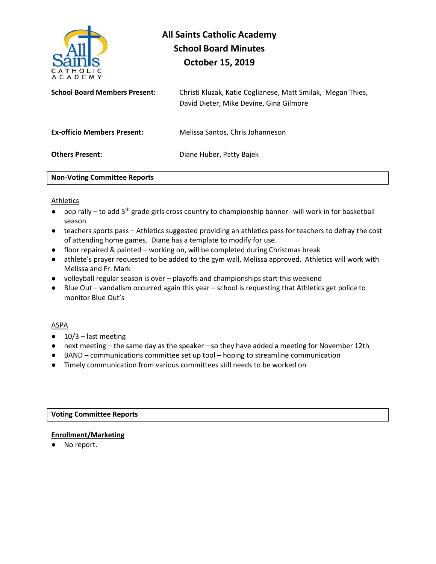

# **All Saints Catholic Academy School Board Minutes October 15, 2019**

| <b>School Board Members Present:</b> | Christi Kluzak, Katie Coglianese, Matt Smilak, Megan Thies,<br>David Dieter, Mike Devine, Gina Gilmore |
|--------------------------------------|--------------------------------------------------------------------------------------------------------|
| <b>Ex-officio Members Present:</b>   | Melissa Santos, Chris Johanneson                                                                       |
| <b>Others Present:</b>               | Diane Huber, Patty Bajek                                                                               |
| <b>Non-Voting Committee Reports</b>  |                                                                                                        |

#### Athletics

- pep rally to add 5<sup>th</sup> grade girls cross country to championship banner--will work in for basketball season
- teachers sports pass Athletics suggested providing an athletics pass for teachers to defray the cost of attending home games. Diane has a template to modify for use.
- floor repaired & painted working on, will be completed during Christmas break
- athlete's prayer requested to be added to the gym wall, Melissa approved. Athletics will work with Melissa and Fr. Mark
- volleyball regular season is over playoffs and championships start this weekend
- Blue Out vandalism occurred again this year school is requesting that Athletics get police to monitor Blue Out's

#### ASPA

- $\bullet$  10/3 last meeting
- next meeting the same day as the speaker—so they have added a meeting for November 12th
- BAND communications committee set up tool hoping to streamline communication
- Timely communication from various committees still needs to be worked on

## **Voting Committee Reports**

# **Enrollment/Marketing**

● No report.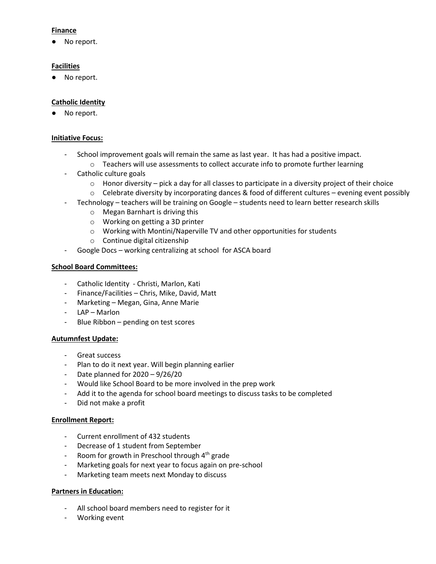# **Finance**

● No report.

# **Facilities**

● No report.

# **Catholic Identity**

● No report.

### **Initiative Focus:**

- School improvement goals will remain the same as last year. It has had a positive impact.
	- $\circ$  Teachers will use assessments to collect accurate info to promote further learning
- Catholic culture goals
	- $\circ$  Honor diversity pick a day for all classes to participate in a diversity project of their choice
	- $\circ$  Celebrate diversity by incorporating dances & food of different cultures evening event possibly
- Technology teachers will be training on Google students need to learn better research skills
	- o Megan Barnhart is driving this
	- o Working on getting a 3D printer
	- o Working with Montini/Naperville TV and other opportunities for students
	- o Continue digital citizenship
- Google Docs working centralizing at school for ASCA board

# **School Board Committees:**

- Catholic Identity Christi, Marlon, Kati
- Finance/Facilities Chris, Mike, David, Matt
- Marketing Megan, Gina, Anne Marie
- LAP Marlon
- Blue Ribbon pending on test scores

#### **Autumnfest Update:**

- Great success
- Plan to do it next year. Will begin planning earlier
- Date planned for 2020 9/26/20
- Would like School Board to be more involved in the prep work
- Add it to the agenda for school board meetings to discuss tasks to be completed
- Did not make a profit

#### **Enrollment Report:**

- Current enrollment of 432 students
- Decrease of 1 student from September
- Room for growth in Preschool through  $4<sup>th</sup>$  grade
- Marketing goals for next year to focus again on pre-school
- Marketing team meets next Monday to discuss

# **Partners in Education:**

- All school board members need to register for it
- Working event